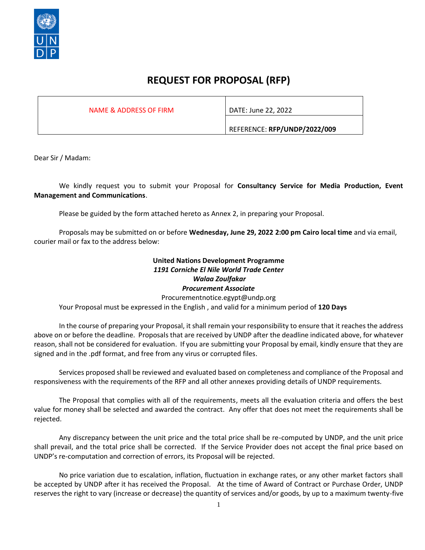

### **REQUEST FOR PROPOSAL (RFP)**

NAME & ADDRESS OF FIRM | DATE: June 22, 2022

REFERENCE: **RFP/UNDP/2022/009**

Dear Sir / Madam:

We kindly request you to submit your Proposal for **Consultancy Service for Media Production, Event Management and Communications**.

Please be guided by the form attached hereto as Annex 2, in preparing your Proposal.

Proposals may be submitted on or before **Wednesday, June 29, 2022 2:00 pm Cairo local time** and via email, courier mail or fax to the address below:

#### **United Nations Development Programme** *1191 Corniche El Nile World Trade Center Walaa Zoulfakar Procurement Associate*

Procurementnotice.egypt@undp.org Your Proposal must be expressed in the English , and valid for a minimum period of **120 Days** 

In the course of preparing your Proposal, it shall remain your responsibility to ensure that it reaches the address above on or before the deadline. Proposals that are received by UNDP after the deadline indicated above, for whatever reason, shall not be considered for evaluation. If you are submitting your Proposal by email, kindly ensure that they are signed and in the .pdf format, and free from any virus or corrupted files.

Services proposed shall be reviewed and evaluated based on completeness and compliance of the Proposal and responsiveness with the requirements of the RFP and all other annexes providing details of UNDP requirements.

The Proposal that complies with all of the requirements, meets all the evaluation criteria and offers the best value for money shall be selected and awarded the contract. Any offer that does not meet the requirements shall be rejected.

Any discrepancy between the unit price and the total price shall be re-computed by UNDP, and the unit price shall prevail, and the total price shall be corrected. If the Service Provider does not accept the final price based on UNDP's re-computation and correction of errors, its Proposal will be rejected.

No price variation due to escalation, inflation, fluctuation in exchange rates, or any other market factors shall be accepted by UNDP after it has received the Proposal. At the time of Award of Contract or Purchase Order, UNDP reserves the right to vary (increase or decrease) the quantity of services and/or goods, by up to a maximum twenty-five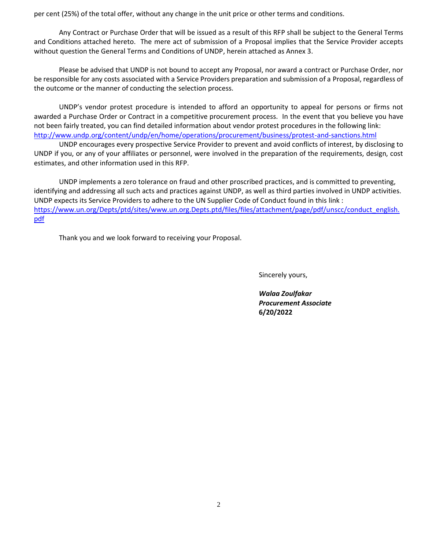per cent (25%) of the total offer, without any change in the unit price or other terms and conditions.

Any Contract or Purchase Order that will be issued as a result of this RFP shall be subject to the General Terms and Conditions attached hereto. The mere act of submission of a Proposal implies that the Service Provider accepts without question the General Terms and Conditions of UNDP, herein attached as Annex 3.

Please be advised that UNDP is not bound to accept any Proposal, nor award a contract or Purchase Order, nor be responsible for any costs associated with a Service Providers preparation and submission of a Proposal, regardless of the outcome or the manner of conducting the selection process.

UNDP's vendor protest procedure is intended to afford an opportunity to appeal for persons or firms not awarded a Purchase Order or Contract in a competitive procurement process. In the event that you believe you have not been fairly treated, you can find detailed information about vendor protest procedures in the following link: <http://www.undp.org/content/undp/en/home/operations/procurement/business/protest-and-sanctions.html>

UNDP encourages every prospective Service Provider to prevent and avoid conflicts of interest, by disclosing to UNDP if you, or any of your affiliates or personnel, were involved in the preparation of the requirements, design, cost estimates, and other information used in this RFP.

UNDP implements a zero tolerance on fraud and other proscribed practices, and is committed to preventing, identifying and addressing all such acts and practices against UNDP, as well as third parties involved in UNDP activities. UNDP expects its Service Providers to adhere to the UN Supplier Code of Conduct found in this link : [https://www.un.org/Depts/ptd/sites/www.un.org.Depts.ptd/files/files/attachment/page/pdf/unscc/conduct\\_english.](https://www.un.org/Depts/ptd/sites/www.un.org.Depts.ptd/files/files/attachment/page/pdf/unscc/conduct_english.pdf) [pdf](https://www.un.org/Depts/ptd/sites/www.un.org.Depts.ptd/files/files/attachment/page/pdf/unscc/conduct_english.pdf)

Thank you and we look forward to receiving your Proposal.

Sincerely yours,

*Walaa Zoulfakar Procurement Associate*  **6/20/2022**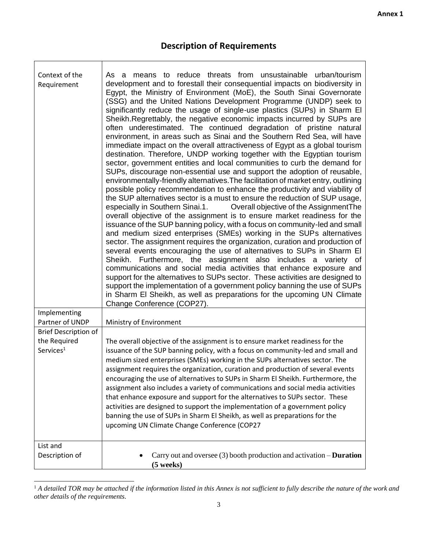٦

# **Description of Requirements**

 $\overline{\phantom{a}}$ 

| Context of the<br>Requirement               | As a means to reduce threats from unsustainable urban/tourism<br>development and to forestall their consequential impacts on biodiversity in<br>Egypt, the Ministry of Environment (MoE), the South Sinai Governorate<br>(SSG) and the United Nations Development Programme (UNDP) seek to<br>significantly reduce the usage of single-use plastics (SUPs) in Sharm El<br>Sheikh. Regrettably, the negative economic impacts incurred by SUPs are<br>often underestimated. The continued degradation of pristine natural<br>environment, in areas such as Sinai and the Southern Red Sea, will have<br>immediate impact on the overall attractiveness of Egypt as a global tourism<br>destination. Therefore, UNDP working together with the Egyptian tourism<br>sector, government entities and local communities to curb the demand for<br>SUPs, discourage non-essential use and support the adoption of reusable,<br>environmentally-friendly alternatives. The facilitation of market entry, outlining<br>possible policy recommendation to enhance the productivity and viability of<br>the SUP alternatives sector is a must to ensure the reduction of SUP usage,<br>especially in Southern Sinai.1.<br>Overall objective of the Assignment The<br>overall objective of the assignment is to ensure market readiness for the<br>issuance of the SUP banning policy, with a focus on community-led and small<br>and medium sized enterprises (SMEs) working in the SUPs alternatives<br>sector. The assignment requires the organization, curation and production of<br>several events encouraging the use of alternatives to SUPs in Sharm El<br>Sheikh. Furthermore, the assignment also includes a variety of<br>communications and social media activities that enhance exposure and<br>support for the alternatives to SUPs sector. These activities are designed to<br>support the implementation of a government policy banning the use of SUPs<br>in Sharm El Sheikh, as well as preparations for the upcoming UN Climate<br>Change Conference (COP27). |
|---------------------------------------------|------------------------------------------------------------------------------------------------------------------------------------------------------------------------------------------------------------------------------------------------------------------------------------------------------------------------------------------------------------------------------------------------------------------------------------------------------------------------------------------------------------------------------------------------------------------------------------------------------------------------------------------------------------------------------------------------------------------------------------------------------------------------------------------------------------------------------------------------------------------------------------------------------------------------------------------------------------------------------------------------------------------------------------------------------------------------------------------------------------------------------------------------------------------------------------------------------------------------------------------------------------------------------------------------------------------------------------------------------------------------------------------------------------------------------------------------------------------------------------------------------------------------------------------------------------------------------------------------------------------------------------------------------------------------------------------------------------------------------------------------------------------------------------------------------------------------------------------------------------------------------------------------------------------------------------------------------------------------------------------------------------------------------------------------------------------------|
| Implementing<br>Partner of UNDP             |                                                                                                                                                                                                                                                                                                                                                                                                                                                                                                                                                                                                                                                                                                                                                                                                                                                                                                                                                                                                                                                                                                                                                                                                                                                                                                                                                                                                                                                                                                                                                                                                                                                                                                                                                                                                                                                                                                                                                                                                                                                                        |
|                                             | Ministry of Environment                                                                                                                                                                                                                                                                                                                                                                                                                                                                                                                                                                                                                                                                                                                                                                                                                                                                                                                                                                                                                                                                                                                                                                                                                                                                                                                                                                                                                                                                                                                                                                                                                                                                                                                                                                                                                                                                                                                                                                                                                                                |
| <b>Brief Description of</b><br>the Required | The overall objective of the assignment is to ensure market readiness for the                                                                                                                                                                                                                                                                                                                                                                                                                                                                                                                                                                                                                                                                                                                                                                                                                                                                                                                                                                                                                                                                                                                                                                                                                                                                                                                                                                                                                                                                                                                                                                                                                                                                                                                                                                                                                                                                                                                                                                                          |
| Services <sup>1</sup>                       | issuance of the SUP banning policy, with a focus on community-led and small and<br>medium sized enterprises (SMEs) working in the SUPs alternatives sector. The<br>assignment requires the organization, curation and production of several events<br>encouraging the use of alternatives to SUPs in Sharm El Sheikh. Furthermore, the<br>assignment also includes a variety of communications and social media activities<br>that enhance exposure and support for the alternatives to SUPs sector. These<br>activities are designed to support the implementation of a government policy<br>banning the use of SUPs in Sharm El Sheikh, as well as preparations for the<br>upcoming UN Climate Change Conference (COP27                                                                                                                                                                                                                                                                                                                                                                                                                                                                                                                                                                                                                                                                                                                                                                                                                                                                                                                                                                                                                                                                                                                                                                                                                                                                                                                                              |
| List and                                    |                                                                                                                                                                                                                                                                                                                                                                                                                                                                                                                                                                                                                                                                                                                                                                                                                                                                                                                                                                                                                                                                                                                                                                                                                                                                                                                                                                                                                                                                                                                                                                                                                                                                                                                                                                                                                                                                                                                                                                                                                                                                        |
| Description of                              | Carry out and oversee $(3)$ booth production and activation – <b>Duration</b><br>$(5$ weeks)                                                                                                                                                                                                                                                                                                                                                                                                                                                                                                                                                                                                                                                                                                                                                                                                                                                                                                                                                                                                                                                                                                                                                                                                                                                                                                                                                                                                                                                                                                                                                                                                                                                                                                                                                                                                                                                                                                                                                                           |

<sup>&</sup>lt;sup>1</sup> A detailed TOR may be attached if the information listed in this Annex is not sufficient to fully describe the nature of the work and *other details of the requirements.*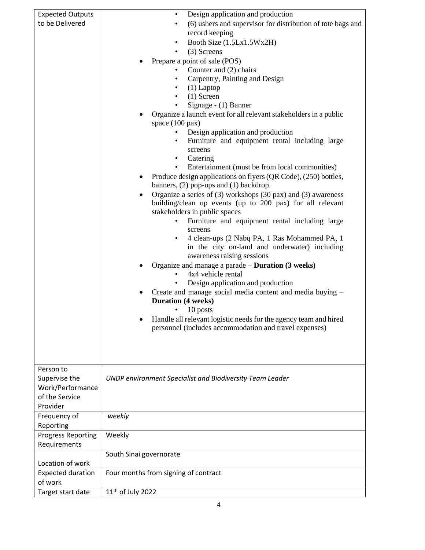| <b>Expected Outputs</b><br>to be Delivered                                   | Design application and production<br>(6) ushers and supervisor for distribution of tote bags and<br>$\bullet$<br>record keeping<br>Booth Size (1.5Lx1.5Wx2H)<br>(3) Screens<br>Prepare a point of sale (POS)<br>Counter and (2) chairs<br>Carpentry, Painting and Design<br>$(1)$ Laptop<br>$(1)$ Screen<br>$\bullet$<br>Signage - (1) Banner<br>٠<br>Organize a launch event for all relevant stakeholders in a public<br>space $(100 \text{ pax})$<br>Design application and production<br>Furniture and equipment rental including large<br>screens<br>Catering<br>Entertainment (must be from local communities)<br>$\bullet$<br>Produce design applications on flyers (QR Code), (250) bottles,<br>banners, (2) pop-ups and (1) backdrop.<br>Organize a series of $(3)$ workshops $(30 \text{ pax})$ and $(3)$ awareness<br>building/clean up events (up to 200 pax) for all relevant<br>stakeholders in public spaces<br>Furniture and equipment rental including large<br>screens<br>4 clean-ups (2 Nabq PA, 1 Ras Mohammed PA, 1<br>in the city on-land and underwater) including<br>awareness raising sessions<br>Organize and manage a parade - Duration (3 weeks)<br>4x4 vehicle rental<br>Design application and production<br>Create and manage social media content and media buying -<br><b>Duration</b> (4 weeks)<br>10 posts<br>Handle all relevant logistic needs for the agency team and hired<br>personnel (includes accommodation and travel expenses) |
|------------------------------------------------------------------------------|-----------------------------------------------------------------------------------------------------------------------------------------------------------------------------------------------------------------------------------------------------------------------------------------------------------------------------------------------------------------------------------------------------------------------------------------------------------------------------------------------------------------------------------------------------------------------------------------------------------------------------------------------------------------------------------------------------------------------------------------------------------------------------------------------------------------------------------------------------------------------------------------------------------------------------------------------------------------------------------------------------------------------------------------------------------------------------------------------------------------------------------------------------------------------------------------------------------------------------------------------------------------------------------------------------------------------------------------------------------------------------------------------------------------------------------------------------------------------------|
| Person to<br>Supervise the<br>Work/Performance<br>of the Service<br>Provider | UNDP environment Specialist and Biodiversity Team Leader                                                                                                                                                                                                                                                                                                                                                                                                                                                                                                                                                                                                                                                                                                                                                                                                                                                                                                                                                                                                                                                                                                                                                                                                                                                                                                                                                                                                                    |
| Frequency of<br>Reporting                                                    | weekly                                                                                                                                                                                                                                                                                                                                                                                                                                                                                                                                                                                                                                                                                                                                                                                                                                                                                                                                                                                                                                                                                                                                                                                                                                                                                                                                                                                                                                                                      |
| <b>Progress Reporting</b><br>Requirements                                    | Weekly                                                                                                                                                                                                                                                                                                                                                                                                                                                                                                                                                                                                                                                                                                                                                                                                                                                                                                                                                                                                                                                                                                                                                                                                                                                                                                                                                                                                                                                                      |
|                                                                              | South Sinai governorate                                                                                                                                                                                                                                                                                                                                                                                                                                                                                                                                                                                                                                                                                                                                                                                                                                                                                                                                                                                                                                                                                                                                                                                                                                                                                                                                                                                                                                                     |
| Location of work                                                             |                                                                                                                                                                                                                                                                                                                                                                                                                                                                                                                                                                                                                                                                                                                                                                                                                                                                                                                                                                                                                                                                                                                                                                                                                                                                                                                                                                                                                                                                             |
| <b>Expected duration</b><br>of work                                          | Four months from signing of contract                                                                                                                                                                                                                                                                                                                                                                                                                                                                                                                                                                                                                                                                                                                                                                                                                                                                                                                                                                                                                                                                                                                                                                                                                                                                                                                                                                                                                                        |
| Target start date                                                            | 11 <sup>th</sup> of July 2022                                                                                                                                                                                                                                                                                                                                                                                                                                                                                                                                                                                                                                                                                                                                                                                                                                                                                                                                                                                                                                                                                                                                                                                                                                                                                                                                                                                                                                               |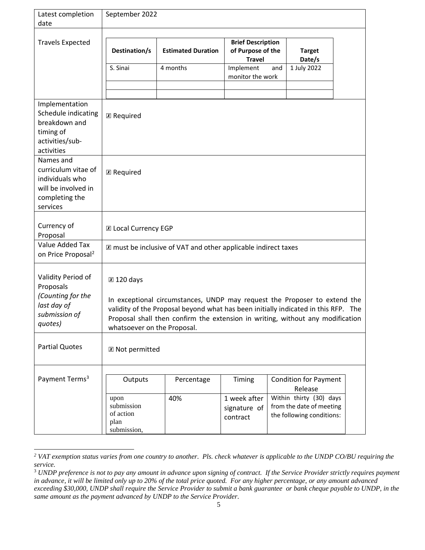| Latest completion<br>date                                                                                | September 2022                                                                                                                                                                                                                                                                   |                           |                                                                |                                                                                  |                         |  |
|----------------------------------------------------------------------------------------------------------|----------------------------------------------------------------------------------------------------------------------------------------------------------------------------------------------------------------------------------------------------------------------------------|---------------------------|----------------------------------------------------------------|----------------------------------------------------------------------------------|-------------------------|--|
| <b>Travels Expected</b>                                                                                  | Destination/s                                                                                                                                                                                                                                                                    | <b>Estimated Duration</b> | <b>Brief Description</b><br>of Purpose of the<br><b>Travel</b> |                                                                                  | <b>Target</b><br>Date/s |  |
|                                                                                                          | S. Sinai                                                                                                                                                                                                                                                                         | 4 months                  | Implement<br>monitor the work                                  | 1 July 2022<br>and                                                               |                         |  |
| Implementation<br>Schedule indicating<br>breakdown and<br>timing of<br>activities/sub-<br>activities     | <b>Z</b> Required                                                                                                                                                                                                                                                                |                           |                                                                |                                                                                  |                         |  |
| Names and<br>curriculum vitae of<br>individuals who<br>will be involved in<br>completing the<br>services | <b>Z</b> Required                                                                                                                                                                                                                                                                |                           |                                                                |                                                                                  |                         |  |
| Currency of<br>Proposal                                                                                  | <b>X</b> Local Currency EGP                                                                                                                                                                                                                                                      |                           |                                                                |                                                                                  |                         |  |
| Value Added Tax<br>on Price Proposal <sup>2</sup>                                                        | X must be inclusive of VAT and other applicable indirect taxes                                                                                                                                                                                                                   |                           |                                                                |                                                                                  |                         |  |
| Validity Period of<br>Proposals                                                                          | ⊠ 120 days                                                                                                                                                                                                                                                                       |                           |                                                                |                                                                                  |                         |  |
| (Counting for the<br>last day of<br>submission of<br>quotes)                                             | In exceptional circumstances, UNDP may request the Proposer to extend the<br>validity of the Proposal beyond what has been initially indicated in this RFP. The<br>Proposal shall then confirm the extension in writing, without any modification<br>whatsoever on the Proposal. |                           |                                                                |                                                                                  |                         |  |
| <b>Partial Quotes</b>                                                                                    | <b>E</b> Not permitted                                                                                                                                                                                                                                                           |                           |                                                                |                                                                                  |                         |  |
| Payment Terms <sup>3</sup>                                                                               | Outputs                                                                                                                                                                                                                                                                          | Percentage                | Timing                                                         | <b>Condition for Payment</b><br>Release                                          |                         |  |
|                                                                                                          | upon<br>submission<br>of action<br>plan<br>submission,                                                                                                                                                                                                                           | 40%                       | 1 week after<br>signature of<br>contract                       | Within thirty (30) days<br>from the date of meeting<br>the following conditions: |                         |  |

*<sup>2</sup> VAT exemption status varies from one country to another. Pls. check whatever is applicable to the UNDP CO/BU requiring the service.*

<sup>&</sup>lt;sup>3</sup> UNDP preference is not to pay any amount in advance upon signing of contract. If the Service Provider strictly requires payment *in advance, it will be limited only up to 20% of the total price quoted. For any higher percentage, or any amount advanced exceeding \$30,000, UNDP shall require the Service Provider to submit a bank guarantee or bank cheque payable to UNDP, in the same amount as the payment advanced by UNDP to the Service Provider.*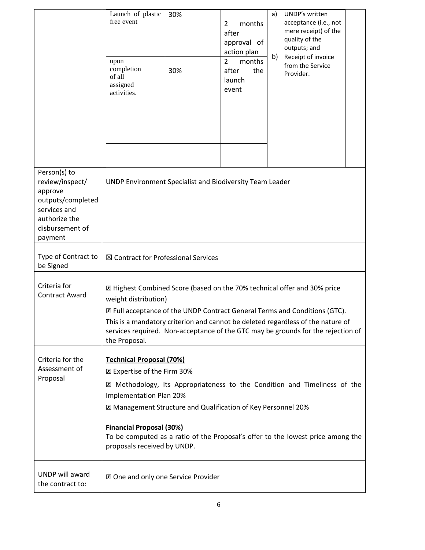|                                                                                                                                | Launch of plastic<br>free event<br>upon<br>completion<br>of all<br>assigned<br>activities.                                                                                                                                                                                                                                                                                                   | 30%<br>30% | months<br>$\overline{2}$<br>after<br>approval of<br>action plan<br>$\overline{2}$<br>months<br>after<br>the<br>launch<br>event | UNDP's written<br>a)<br>acceptance (i.e., not<br>mere receipt) of the<br>quality of the<br>outputs; and<br>b)<br>Receipt of invoice<br>from the Service<br>Provider. |
|--------------------------------------------------------------------------------------------------------------------------------|----------------------------------------------------------------------------------------------------------------------------------------------------------------------------------------------------------------------------------------------------------------------------------------------------------------------------------------------------------------------------------------------|------------|--------------------------------------------------------------------------------------------------------------------------------|----------------------------------------------------------------------------------------------------------------------------------------------------------------------|
| Person(s) to<br>review/inspect/<br>approve<br>outputs/completed<br>services and<br>authorize the<br>disbursement of<br>payment | UNDP Environment Specialist and Biodiversity Team Leader                                                                                                                                                                                                                                                                                                                                     |            |                                                                                                                                |                                                                                                                                                                      |
| Type of Contract to<br>be Signed                                                                                               | ⊠ Contract for Professional Services                                                                                                                                                                                                                                                                                                                                                         |            |                                                                                                                                |                                                                                                                                                                      |
| Criteria for<br><b>Contract Award</b>                                                                                          | X Highest Combined Score (based on the 70% technical offer and 30% price<br>weight distribution)<br>X Full acceptance of the UNDP Contract General Terms and Conditions (GTC).<br>This is a mandatory criterion and cannot be deleted regardless of the nature of<br>services required. Non-acceptance of the GTC may be grounds for the rejection of<br>the Proposal.                       |            |                                                                                                                                |                                                                                                                                                                      |
| Criteria for the<br>Assessment of<br>Proposal                                                                                  | <b>Technical Proposal (70%)</b><br>X Expertise of the Firm 30%<br>X Methodology, Its Appropriateness to the Condition and Timeliness of the<br>Implementation Plan 20%<br>X Management Structure and Qualification of Key Personnel 20%<br><b>Financial Proposal (30%)</b><br>To be computed as a ratio of the Proposal's offer to the lowest price among the<br>proposals received by UNDP. |            |                                                                                                                                |                                                                                                                                                                      |
| UNDP will award<br>the contract to:                                                                                            | X One and only one Service Provider                                                                                                                                                                                                                                                                                                                                                          |            |                                                                                                                                |                                                                                                                                                                      |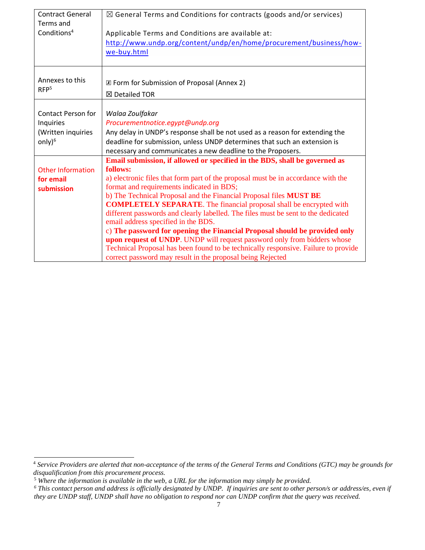| <b>Contract General</b><br>Terms and | $\boxtimes$ General Terms and Conditions for contracts (goods and/or services)                                                 |  |  |  |
|--------------------------------------|--------------------------------------------------------------------------------------------------------------------------------|--|--|--|
| Conditions <sup>4</sup>              | Applicable Terms and Conditions are available at:                                                                              |  |  |  |
|                                      | http://www.undp.org/content/undp/en/home/procurement/business/how-                                                             |  |  |  |
|                                      | we-buy.html                                                                                                                    |  |  |  |
|                                      |                                                                                                                                |  |  |  |
|                                      |                                                                                                                                |  |  |  |
| Annexes to this                      | X Form for Submission of Proposal (Annex 2)                                                                                    |  |  |  |
| RFP <sup>5</sup>                     | ⊠ Detailed TOR                                                                                                                 |  |  |  |
|                                      |                                                                                                                                |  |  |  |
| Contact Person for                   | Walaa Zoulfakar                                                                                                                |  |  |  |
| Inquiries                            | Procurementnotice.egypt@undp.org                                                                                               |  |  |  |
| (Written inquiries                   | Any delay in UNDP's response shall be not used as a reason for extending the                                                   |  |  |  |
| only $)^6$                           | deadline for submission, unless UNDP determines that such an extension is                                                      |  |  |  |
|                                      | necessary and communicates a new deadline to the Proposers.                                                                    |  |  |  |
|                                      | Email submission, if allowed or specified in the BDS, shall be governed as                                                     |  |  |  |
| <b>Other Information</b>             | follows:                                                                                                                       |  |  |  |
| for email<br>submission              | a) electronic files that form part of the proposal must be in accordance with the<br>format and requirements indicated in BDS; |  |  |  |
|                                      | b) The Technical Proposal and the Financial Proposal files MUST BE                                                             |  |  |  |
|                                      | <b>COMPLETELY SEPARATE</b> . The financial proposal shall be encrypted with                                                    |  |  |  |
|                                      | different passwords and clearly labelled. The files must be sent to the dedicated                                              |  |  |  |
|                                      | email address specified in the BDS.                                                                                            |  |  |  |
|                                      | c) The password for opening the Financial Proposal should be provided only                                                     |  |  |  |
|                                      | upon request of UNDP. UNDP will request password only from bidders whose                                                       |  |  |  |
|                                      | Technical Proposal has been found to be technically responsive. Failure to provide                                             |  |  |  |
|                                      | correct password may result in the proposal being Rejected                                                                     |  |  |  |

<sup>4</sup> *Service Providers are alerted that non-acceptance of the terms of the General Terms and Conditions (GTC) may be grounds for disqualification from this procurement process.* 

<sup>5</sup> *Where the information is available in the web, a URL for the information may simply be provided.*

*<sup>6</sup> This contact person and address is officially designated by UNDP. If inquiries are sent to other person/s or address/es, even if they are UNDP staff, UNDP shall have no obligation to respond nor can UNDP confirm that the query was received.*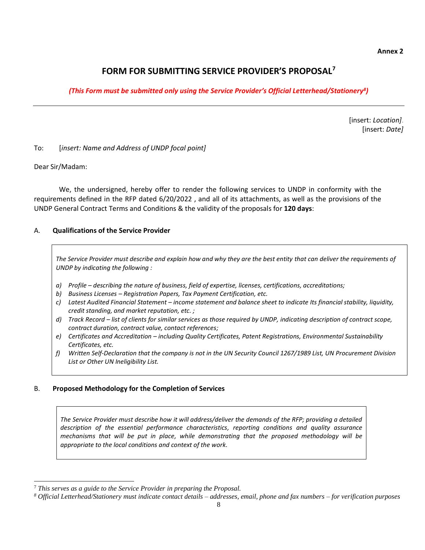#### **Annex 2**

#### **FORM FOR SUBMITTING SERVICE PROVIDER'S PROPOSAL<sup>7</sup>**

#### *(This Form must be submitted only using the Service Provider's Official Letterhead/Stationery<sup>8</sup> )*

[insert: *Location]*. [insert: *Date]*

To: [*insert: Name and Address of UNDP focal point]*

#### Dear Sir/Madam:

We, the undersigned, hereby offer to render the following services to UNDP in conformity with the requirements defined in the RFP dated 6/20/2022 , and all of its attachments, as well as the provisions of the UNDP General Contract Terms and Conditions & the validity of the proposals for **120 days**:

#### A. **Qualifications of the Service Provider**

*The Service Provider must describe and explain how and why they are the best entity that can deliver the requirements of UNDP by indicating the following :*

- *a) Profile – describing the nature of business, field of expertise, licenses, certifications, accreditations;*
- *b) Business Licenses – Registration Papers, Tax Payment Certification, etc.*
- *c) Latest Audited Financial Statement – income statement and balance sheet to indicate Its financial stability, liquidity, credit standing, and market reputation, etc. ;*
- *d) Track Record – list of clients for similar services as those required by UNDP, indicating description of contract scope, contract duration, contract value, contact references;*
- *e) Certificates and Accreditation – including Quality Certificates, Patent Registrations, Environmental Sustainability Certificates, etc.*
- *f) Written Self-Declaration that the company is not in the UN Security Council 1267/1989 List, UN Procurement Division List or Other UN Ineligibility List.*

#### B. **Proposed Methodology for the Completion of Services**

*The Service Provider must describe how it will address/deliver the demands of the RFP; providing a detailed description of the essential performance characteristics, reporting conditions and quality assurance mechanisms that will be put in place, while demonstrating that the proposed methodology will be appropriate to the local conditions and context of the work.*

<sup>7</sup> *This serves as a guide to the Service Provider in preparing the Proposal.* 

*<sup>8</sup> Official Letterhead/Stationery must indicate contact details – addresses, email, phone and fax numbers – for verification purposes*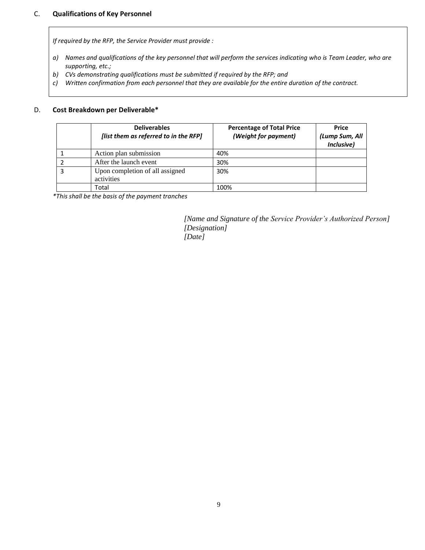#### C. **Qualifications of Key Personnel**

*If required by the RFP, the Service Provider must provide :*

- *a) Names and qualifications of the key personnel that will perform the services indicating who is Team Leader, who are supporting, etc.;*
- *b) CVs demonstrating qualifications must be submitted if required by the RFP; and*
- *c) Written confirmation from each personnel that they are available for the entire duration of the contract.*

#### D. **Cost Breakdown per Deliverable\***

|   | <b>Deliverables</b><br>[list them as referred to in the RFP] | <b>Percentage of Total Price</b><br>(Weight for payment) | <b>Price</b><br>(Lump Sum, All<br>Inclusive) |
|---|--------------------------------------------------------------|----------------------------------------------------------|----------------------------------------------|
|   | Action plan submission                                       | 40%                                                      |                                              |
|   | After the launch event                                       | 30%                                                      |                                              |
| 3 | Upon completion of all assigned<br>activities                | 30%                                                      |                                              |
|   | Total                                                        | 100%                                                     |                                              |

*\*This shall be the basis of the payment tranches*

*[Name and Signature of the Service Provider's Authorized Person] [Designation] [Date]*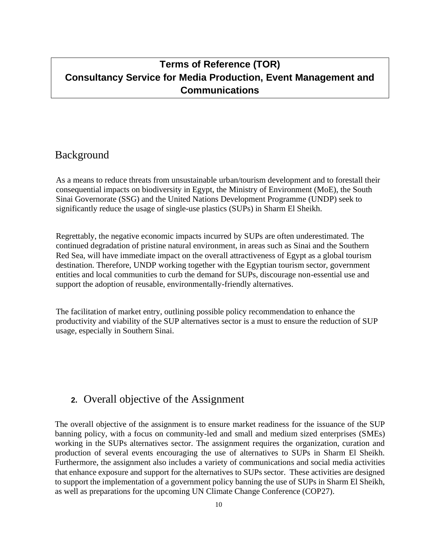# **Terms of Reference (TOR) Consultancy Service for Media Production, Event Management and Communications**

### Background

As a means to reduce threats from unsustainable urban/tourism development and to forestall their consequential impacts on biodiversity in Egypt, the Ministry of Environment (MoE), the South Sinai Governorate (SSG) and the United Nations Development Programme (UNDP) seek to significantly reduce the usage of single-use plastics (SUPs) in Sharm El Sheikh.

Regrettably, the negative economic impacts incurred by SUPs are often underestimated. The continued degradation of pristine natural environment, in areas such as Sinai and the Southern Red Sea, will have immediate impact on the overall attractiveness of Egypt as a global tourism destination. Therefore, UNDP working together with the Egyptian tourism sector, government entities and local communities to curb the demand for SUPs, discourage non-essential use and support the adoption of reusable, environmentally-friendly alternatives.

The facilitation of market entry, outlining possible policy recommendation to enhance the productivity and viability of the SUP alternatives sector is a must to ensure the reduction of SUP usage, especially in Southern Sinai.

### **2.** Overall objective of the Assignment

The overall objective of the assignment is to ensure market readiness for the issuance of the SUP banning policy, with a focus on community-led and small and medium sized enterprises (SMEs) working in the SUPs alternatives sector. The assignment requires the organization, curation and production of several events encouraging the use of alternatives to SUPs in Sharm El Sheikh. Furthermore, the assignment also includes a variety of communications and social media activities that enhance exposure and support for the alternatives to SUPs sector. These activities are designed to support the implementation of a government policy banning the use of SUPs in Sharm El Sheikh, as well as preparations for the upcoming UN Climate Change Conference (COP27).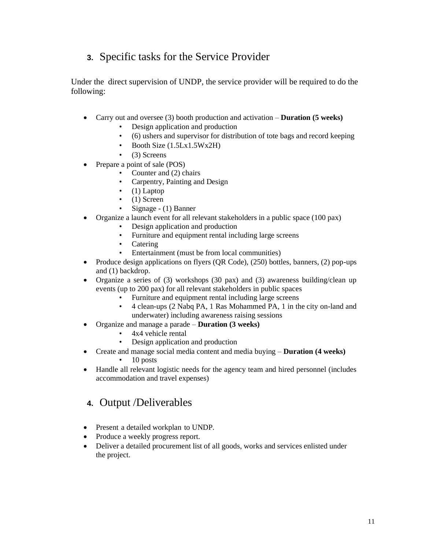# **3.** Specific tasks for the Service Provider

Under the direct supervision of UNDP, the service provider will be required to do the following:

- Carry out and oversee (3) booth production and activation **Duration (5 weeks)**
	- Design application and production
	- (6) ushers and supervisor for distribution of tote bags and record keeping
	- Booth Size (1.5Lx1.5Wx2H)
	- $\bullet$  (3) Screens
- Prepare a point of sale (POS)
	- Counter and (2) chairs
	- Carpentry, Painting and Design
	- $\bullet$  (1) Laptop
	- $\bullet$  (1) Screen
	- Signage (1) Banner
- Organize a launch event for all relevant stakeholders in a public space (100 pax)
	- Design application and production
	- Furniture and equipment rental including large screens
	- Catering
	- Entertainment (must be from local communities)
- Produce design applications on flyers  $(QR Code)$ ,  $(250)$  bottles, banners,  $(2)$  pop-ups and (1) backdrop.
- Organize a series of (3) workshops (30 pax) and (3) awareness building/clean up events (up to 200 pax) for all relevant stakeholders in public spaces
	- Furniture and equipment rental including large screens
	- 4 clean-ups (2 Nabq PA, 1 Ras Mohammed PA, 1 in the city on-land and underwater) including awareness raising sessions
- Organize and manage a parade **Duration (3 weeks)**
	- 4x4 vehicle rental
	- Design application and production
- Create and manage social media content and media buying **Duration (4 weeks)**
	- 10 posts
- Handle all relevant logistic needs for the agency team and hired personnel (includes accommodation and travel expenses)

### **4.** Output /Deliverables

- Present a detailed workplan to UNDP.
- Produce a weekly progress report.
- Deliver a detailed procurement list of all goods, works and services enlisted under the project.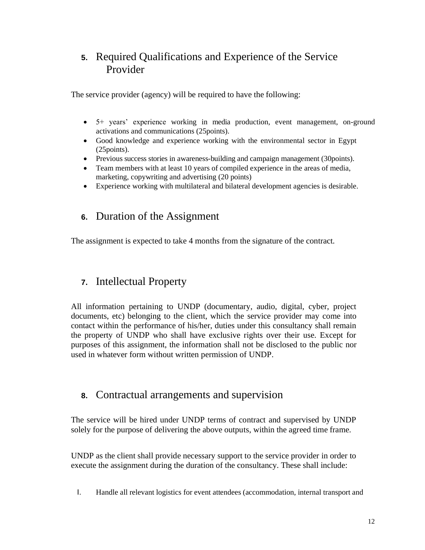# **5.** Required Qualifications and Experience of the Service Provider

The service provider (agency) will be required to have the following:

- 5+ years' experience working in media production, event management, on-ground activations and communications (25points).
- Good knowledge and experience working with the environmental sector in Egypt (25points).
- Previous success stories in awareness-building and campaign management (30points).
- Team members with at least 10 years of compiled experience in the areas of media, marketing, copywriting and advertising (20 points)
- Experience working with multilateral and bilateral development agencies is desirable.

### **6.** Duration of the Assignment

The assignment is expected to take 4 months from the signature of the contract.

### **7.** Intellectual Property

All information pertaining to UNDP (documentary, audio, digital, cyber, project documents, etc) belonging to the client, which the service provider may come into contact within the performance of his/her, duties under this consultancy shall remain the property of UNDP who shall have exclusive rights over their use. Except for purposes of this assignment, the information shall not be disclosed to the public nor used in whatever form without written permission of UNDP.

### **8.** Contractual arrangements and supervision

The service will be hired under UNDP terms of contract and supervised by UNDP solely for the purpose of delivering the above outputs, within the agreed time frame.

UNDP as the client shall provide necessary support to the service provider in order to execute the assignment during the duration of the consultancy. These shall include:

I. Handle all relevant logistics for event attendees (accommodation, internal transport and